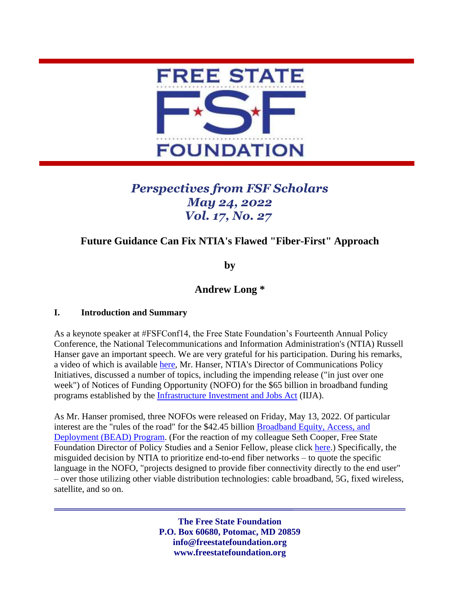

# *Perspectives from FSF Scholars May 24, 2022 Vol. 17, No. 27*

## **Future Guidance Can Fix NTIA's Flawed "Fiber-First" Approach**

**by**

## **Andrew Long \***

## **I. Introduction and Summary**

As a keynote speaker at #FSFConf14, the Free State Foundation's Fourteenth Annual Policy Conference, the National Telecommunications and Information Administration's (NTIA) Russell Hanser gave an important speech. We are very grateful for his participation. During his remarks, a video of which is available [here,](https://youtu.be/KeteD99ReHo?t=5) Mr. Hanser, NTIA's Director of Communications Policy Initiatives, discussed a number of topics, including the impending release ("in just over one week") of Notices of Funding Opportunity (NOFO) for the \$65 billion in broadband funding programs established by the Infrastructure [Investment and Jobs Act](https://www.epw.senate.gov/public/_cache/files/e/a/ea1eb2e4-56bd-45f1-a260-9d6ee951bc96/F8A7C77D69BE09151F210EB4DFE872CD.edw21a09.pdf) (IIJA).

As Mr. Hanser promised, three NOFOs were released on Friday, May 13, 2022. Of particular interest are the "rules of the road" for the \$42.45 billion [Broadband Equity, Access, and](https://broadbandusa.ntia.doc.gov/sites/default/files/2022-05/BEAD%20NOFO.pdf)  [Deployment \(BEAD\) Program.](https://broadbandusa.ntia.doc.gov/sites/default/files/2022-05/BEAD%20NOFO.pdf) (For the reaction of my colleague Seth Cooper, Free State Foundation Director of Policy Studies and a Senior Fellow, please click [here.](http://freestatefoundation.blogspot.com/2022/05/media-advisory-ntia-releases-notice-of.html)) Specifically, the misguided decision by NTIA to prioritize end-to-end fiber networks – to quote the specific language in the NOFO, "projects designed to provide fiber connectivity directly to the end user" – over those utilizing other viable distribution technologies: cable broadband, 5G, fixed wireless, satellite, and so on.

> **The Free State Foundation P.O. Box 60680, Potomac, MD 20859 info@freestatefoundation.org www.freestatefoundation.org**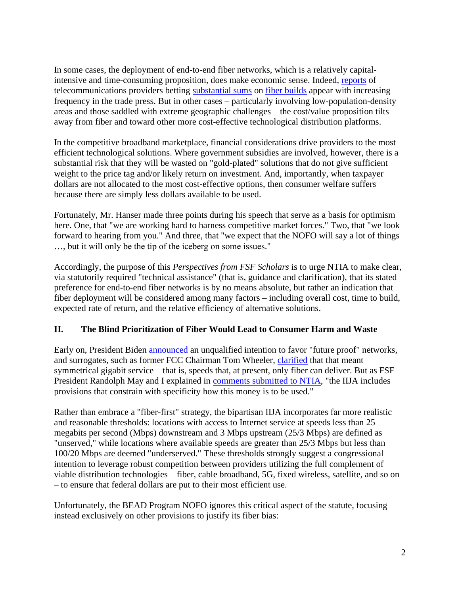In some cases, the deployment of end-to-end fiber networks, which is a relatively capitalintensive and time-consuming proposition, does make economic sense. Indeed, [reports](https://www.fiercetelecom.com/broadband/frontier-intends-surpass-its-1-million-fiber-passings-goal-2022-200k-locations) of telecommunications providers betting [substantial sums](https://www.reuters.com/business/media-telecom/att-eyes-nearly-48-bln-network-investment-post-media-company-2022-03-11/) on [fiber builds](https://www.fiercetelecom.com/broadband/altice-usa-one-ups-verizon-fios-5-gig-optimum-internet-offer) appear with increasing frequency in the trade press. But in other cases – particularly involving low-population-density areas and those saddled with extreme geographic challenges – the cost/value proposition tilts away from fiber and toward other more cost-effective technological distribution platforms.

In the competitive broadband marketplace, financial considerations drive providers to the most efficient technological solutions. Where government subsidies are involved, however, there is a substantial risk that they will be wasted on "gold-plated" solutions that do not give sufficient weight to the price tag and/or likely return on investment. And, importantly, when taxpayer dollars are not allocated to the most cost-effective options, then consumer welfare suffers because there are simply less dollars available to be used.

Fortunately, Mr. Hanser made three points during his speech that serve as a basis for optimism here. One, that "we are working hard to harness competitive market forces." Two, that "we look forward to hearing from you." And three, that "we expect that the NOFO will say a lot of things …, but it will only be the tip of the iceberg on some issues."

Accordingly, the purpose of this *Perspectives from FSF Scholars* is to urge NTIA to make clear, via statutorily required "technical assistance" (that is, guidance and clarification), that its stated preference for end-to-end fiber networks is by no means absolute, but rather an indication that fiber deployment will be considered among many factors – including overall cost, time to build, expected rate of return, and the relative efficiency of alternative solutions.

## **II. The Blind Prioritization of Fiber Would Lead to Consumer Harm and Waste**

Early on, President Biden [announced](https://www.whitehouse.gov/briefing-room/statements-releases/2021/03/31/fact-sheet-the-american-jobs-plan/) an unqualified intention to favor "future proof" networks, and surrogates, such as former FCC Chairman Tom Wheeler, [clarified](https://www.brookings.edu/wp-content/uploads/2021/03/Witness-Testimony_Wheeler_FC_2021.03.22.pdf) that that meant symmetrical gigabit service – that is, speeds that, at present, only fiber can deliver. But as FSF President Randolph May and I explained in [comments submitted to NTIA,](https://freestatefoundation.org/wp-content/uploads/2022/02/NTIA-BEAD-Program-comments.FINAL_.020322.pdf) "the IIJA includes provisions that constrain with specificity how this money is to be used."

Rather than embrace a "fiber-first" strategy, the bipartisan IIJA incorporates far more realistic and reasonable thresholds: locations with access to Internet service at speeds less than 25 megabits per second (Mbps) downstream and 3 Mbps upstream (25/3 Mbps) are defined as "unserved," while locations where available speeds are greater than 25/3 Mbps but less than 100/20 Mbps are deemed "underserved." These thresholds strongly suggest a congressional intention to leverage robust competition between providers utilizing the full complement of viable distribution technologies – fiber, cable broadband, 5G, fixed wireless, satellite, and so on – to ensure that federal dollars are put to their most efficient use.

Unfortunately, the BEAD Program NOFO ignores this critical aspect of the statute, focusing instead exclusively on other provisions to justify its fiber bias: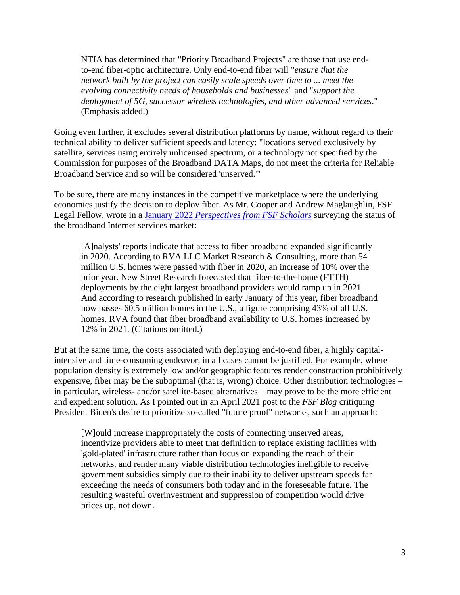NTIA has determined that "Priority Broadband Projects" are those that use endto-end fiber-optic architecture. Only end-to-end fiber will "*ensure that the network built by the project can easily scale speeds over time to ... meet the evolving connectivity needs of households and businesses*" and "*support the deployment of 5G, successor wireless technologies, and other advanced services*." (Emphasis added.)

Going even further, it excludes several distribution platforms by name, without regard to their technical ability to deliver sufficient speeds and latency: "locations served exclusively by satellite, services using entirely unlicensed spectrum, or a technology not specified by the Commission for purposes of the Broadband DATA Maps, do not meet the criteria for Reliable Broadband Service and so will be considered 'unserved.'"

To be sure, there are many instances in the competitive marketplace where the underlying economics justify the decision to deploy fiber. As Mr. Cooper and Andrew Maglaughlin, FSF Legal Fellow, wrote in a January 2022 *[Perspectives from FSF Scholars](https://freestatefoundation.org/wp-content/uploads/2022/01/The-Broadband-Internet-Services-Market-in-January-2022-5G-Cable-Fixed-Wireless-Wi-Fi-6-and-Fiber-Are-Benefitting-Consumers-012122.pdf)* surveying the status of the broadband Internet services market:

[A]nalysts' reports indicate that access to fiber broadband expanded significantly in 2020. According to RVA LLC Market Research & Consulting, more than 54 million U.S. homes were passed with fiber in 2020, an increase of 10% over the prior year. New Street Research forecasted that fiber-to-the-home (FTTH) deployments by the eight largest broadband providers would ramp up in 2021. And according to research published in early January of this year, fiber broadband now passes 60.5 million homes in the U.S., a figure comprising 43% of all U.S. homes. RVA found that fiber broadband availability to U.S. homes increased by 12% in 2021. (Citations omitted.)

But at the same time, the costs associated with deploying end-to-end fiber, a highly capitalintensive and time-consuming endeavor, in all cases cannot be justified. For example, where population density is extremely low and/or geographic features render construction prohibitively expensive, fiber may be the suboptimal (that is, wrong) choice. Other distribution technologies – in particular, wireless- and/or satellite-based alternatives – may prove to be the more efficient and expedient solution. As I pointed out in an April 2021 post to the *FSF Blog* critiquing President Biden's desire to prioritize so-called "future proof" networks, such an approach:

[W]ould increase inappropriately the costs of connecting unserved areas, incentivize providers able to meet that definition to replace existing facilities with 'gold-plated' infrastructure rather than focus on expanding the reach of their networks, and render many viable distribution technologies ineligible to receive government subsidies simply due to their inability to deliver upstream speeds far exceeding the needs of consumers both today and in the foreseeable future. The resulting wasteful overinvestment and suppression of competition would drive prices up, not down.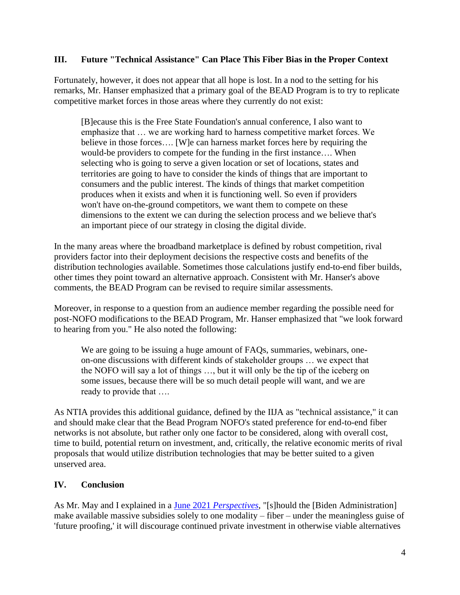#### **III. Future "Technical Assistance" Can Place This Fiber Bias in the Proper Context**

Fortunately, however, it does not appear that all hope is lost. In a nod to the setting for his remarks, Mr. Hanser emphasized that a primary goal of the BEAD Program is to try to replicate competitive market forces in those areas where they currently do not exist:

[B]ecause this is the Free State Foundation's annual conference, I also want to emphasize that … we are working hard to harness competitive market forces. We believe in those forces…. [W]e can harness market forces here by requiring the would-be providers to compete for the funding in the first instance…. When selecting who is going to serve a given location or set of locations, states and territories are going to have to consider the kinds of things that are important to consumers and the public interest. The kinds of things that market competition produces when it exists and when it is functioning well. So even if providers won't have on-the-ground competitors, we want them to compete on these dimensions to the extent we can during the selection process and we believe that's an important piece of our strategy in closing the digital divide.

In the many areas where the broadband marketplace is defined by robust competition, rival providers factor into their deployment decisions the respective costs and benefits of the distribution technologies available. Sometimes those calculations justify end-to-end fiber builds, other times they point toward an alternative approach. Consistent with Mr. Hanser's above comments, the BEAD Program can be revised to require similar assessments.

Moreover, in response to a question from an audience member regarding the possible need for post-NOFO modifications to the BEAD Program, Mr. Hanser emphasized that "we look forward to hearing from you." He also noted the following:

We are going to be issuing a huge amount of FAQs, summaries, webinars, oneon-one discussions with different kinds of stakeholder groups … we expect that the NOFO will say a lot of things …, but it will only be the tip of the iceberg on some issues, because there will be so much detail people will want, and we are ready to provide that ….

As NTIA provides this additional guidance, defined by the IIJA as "technical assistance," it can and should make clear that the Bead Program NOFO's stated preference for end-to-end fiber networks is not absolute, but rather only one factor to be considered, along with overall cost, time to build, potential return on investment, and, critically, the relative economic merits of rival proposals that would utilize distribution technologies that may be better suited to a given unserved area.

## **IV. Conclusion**

As Mr. May and I explained in a June 2021 *[Perspectives](https://freestatefoundation.org/wp-content/uploads/2021/06/Future-Proofing-Is-Likely-Fools-Proofing-062421.pdf)*, "[s]hould the [Biden Administration] make available massive subsidies solely to one modality – fiber – under the meaningless guise of 'future proofing,' it will discourage continued private investment in otherwise viable alternatives